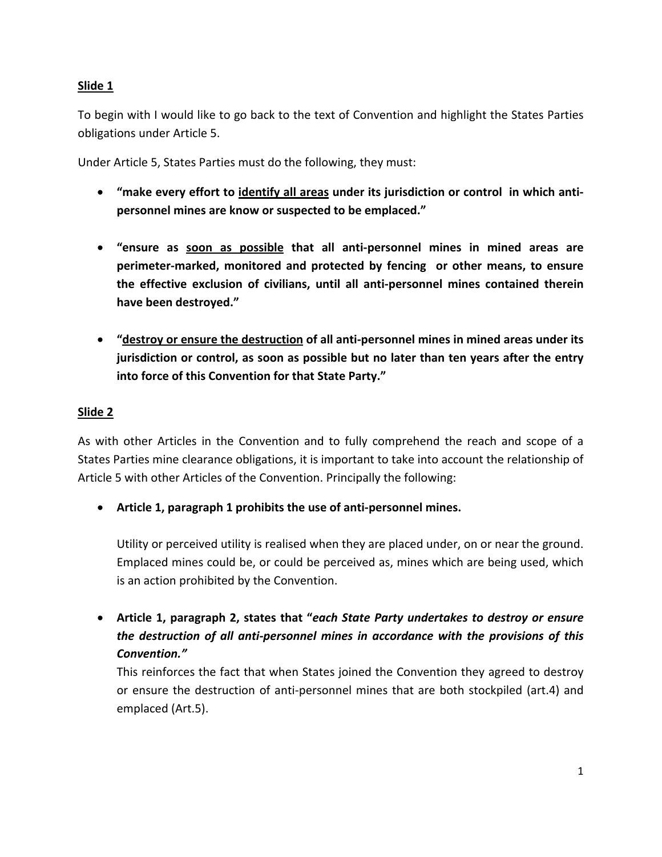To begin with I would like to go back to the text of Convention and highlight the States Parties obligations under Article 5.

Under Article 5, States Parties must do the following, they must:

- **"make every effort to identify all areas under its jurisdiction or control in which anti‐ personnel mines are know or suspected to be emplaced."**
- **"ensure as soon as possible that all anti‐personnel mines in mined areas are perimeter‐marked, monitored and protected by fencing or other means, to ensure the effective exclusion of civilians, until all anti‐personnel mines contained therein have been destroyed."**
- **"destroy or ensure the destruction of all anti‐personnel mines in mined areas under its jurisdiction or control, as soon as possible but no later than ten years after the entry into force of this Convention for that State Party."**

#### **Slide 2**

As with other Articles in the Convention and to fully comprehend the reach and scope of a States Parties mine clearance obligations, it is important to take into account the relationship of Article 5 with other Articles of the Convention. Principally the following:

• **Article 1, paragraph 1 prohibits the use of anti‐personnel mines.**

Utility or perceived utility is realised when they are placed under, on or near the ground. Emplaced mines could be, or could be perceived as, mines which are being used, which is an action prohibited by the Convention.

• **Article 1, paragraph 2, states that "***each State Party undertakes to destroy or ensure the destruction of all anti‐personnel mines in accordance with the provisions of this Convention."*

This reinforces the fact that when States joined the Convention they agreed to destroy or ensure the destruction of anti‐personnel mines that are both stockpiled (art.4) and emplaced (Art.5).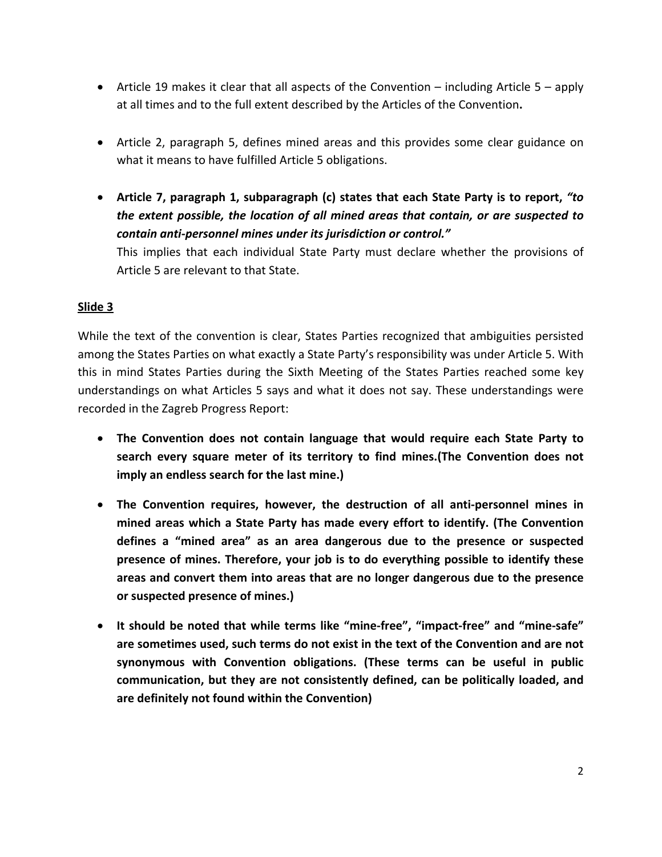- Article 19 makes it clear that all aspects of the Convention including Article  $5 apply$ at all times and to the full extent described by the Articles of the Convention**.**
- Article 2, paragraph 5, defines mined areas and this provides some clear guidance on what it means to have fulfilled Article 5 obligations.
- **Article 7, paragraph 1, subparagraph (c) states that each State Party is to report,** *"to the extent possible, the location of all mined areas that contain, or are suspected to contain anti‐personnel mines under its jurisdiction or control."*

This implies that each individual State Party must declare whether the provisions of Article 5 are relevant to that State.

## **Slide 3**

While the text of the convention is clear, States Parties recognized that ambiguities persisted among the States Parties on what exactly a State Party's responsibility was under Article 5. With this in mind States Parties during the Sixth Meeting of the States Parties reached some key understandings on what Articles 5 says and what it does not say. These understandings were recorded in the Zagreb Progress Report:

- **The Convention does not contain language that would require each State Party to search every square meter of its territory to find mines.(The Convention does not imply an endless search for the last mine.)**
- **The Convention requires, however, the destruction of all anti‐personnel mines in mined areas which a State Party has made every effort to identify. (The Convention defines a "mined area" as an area dangerous due to the presence or suspected presence of mines. Therefore, your job is to do everything possible to identify these areas and convert them into areas that are no longer dangerous due to the presence or suspected presence of mines.)**
- **It should be noted that while terms like "mine‐free", "impact‐free" and "mine‐safe" are sometimes used, such terms do not exist in the text of the Convention and are not synonymous with Convention obligations. (These terms can be useful in public communication, but they are not consistently defined, can be politically loaded, and are definitely not found within the Convention)**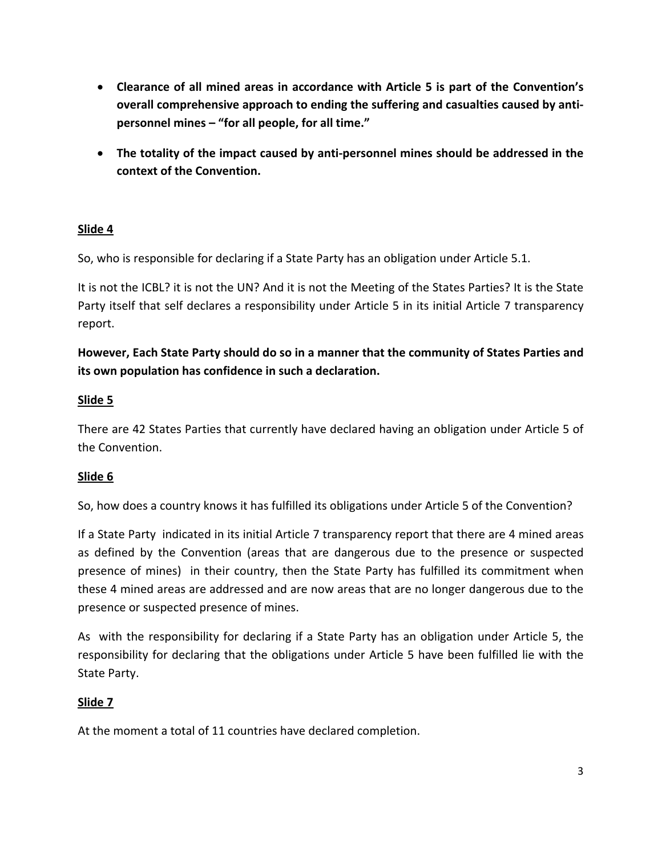- **Clearance of all mined areas in accordance with Article 5 is part of the Convention's overall comprehensive approach to ending the suffering and casualties caused by anti‐ personnel mines – "for all people, for all time."**
- **The totality of the impact caused by anti‐personnel mines should be addressed in the context of the Convention.**

So, who is responsible for declaring if a State Party has an obligation under Article 5.1.

It is not the ICBL? it is not the UN? And it is not the Meeting of the States Parties? It is the State Party itself that self declares a responsibility under Article 5 in its initial Article 7 transparency report.

**However, Each State Party should do so in a manner that the community of States Parties and its own population has confidence in such a declaration.**

## **Slide 5**

There are 42 States Parties that currently have declared having an obligation under Article 5 of the Convention.

## **Slide 6**

So, how does a country knows it has fulfilled its obligations under Article 5 of the Convention?

If a State Party indicated in its initial Article 7 transparency report that there are 4 mined areas as defined by the Convention (areas that are dangerous due to the presence or suspected presence of mines) in their country, then the State Party has fulfilled its commitment when these 4 mined areas are addressed and are now areas that are no longer dangerous due to the presence or suspected presence of mines.

As with the responsibility for declaring if a State Party has an obligation under Article 5, the responsibility for declaring that the obligations under Article 5 have been fulfilled lie with the State Party.

## **Slide 7**

At the moment a total of 11 countries have declared completion.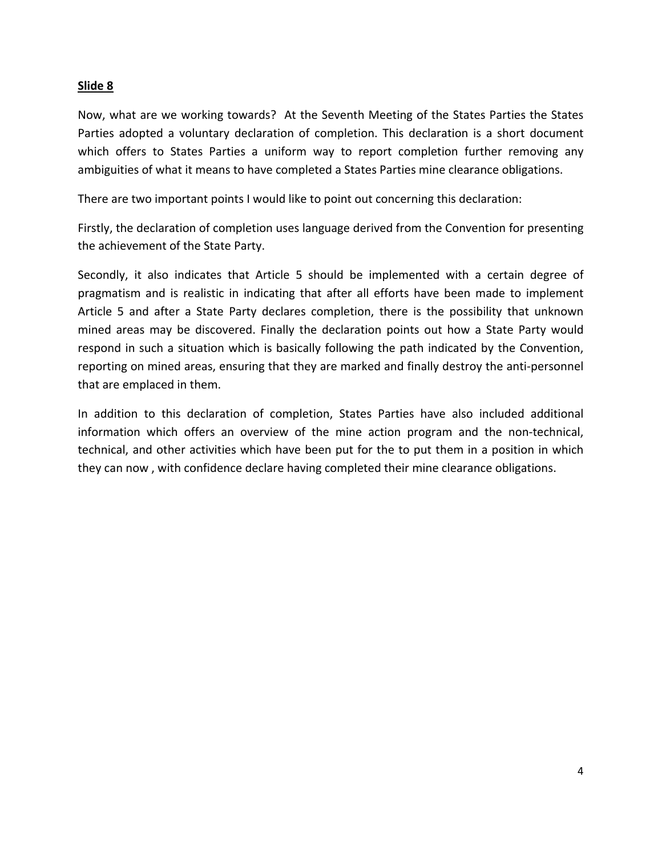Now, what are we working towards? At the Seventh Meeting of the States Parties the States Parties adopted a voluntary declaration of completion. This declaration is a short document which offers to States Parties a uniform way to report completion further removing any ambiguities of what it means to have completed a States Parties mine clearance obligations.

There are two important points I would like to point out concerning this declaration:

Firstly, the declaration of completion uses language derived from the Convention for presenting the achievement of the State Party.

Secondly, it also indicates that Article 5 should be implemented with a certain degree of pragmatism and is realistic in indicating that after all efforts have been made to implement Article 5 and after a State Party declares completion, there is the possibility that unknown mined areas may be discovered. Finally the declaration points out how a State Party would respond in such a situation which is basically following the path indicated by the Convention, reporting on mined areas, ensuring that they are marked and finally destroy the anti‐personnel that are emplaced in them.

In addition to this declaration of completion, States Parties have also included additional information which offers an overview of the mine action program and the non‐technical, technical, and other activities which have been put for the to put them in a position in which they can now , with confidence declare having completed their mine clearance obligations.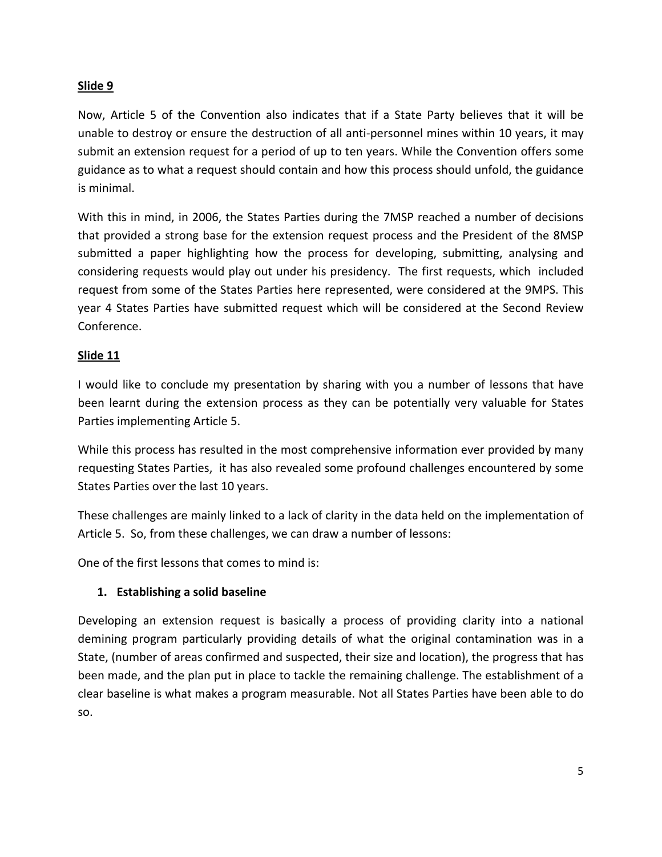Now, Article 5 of the Convention also indicates that if a State Party believes that it will be unable to destroy or ensure the destruction of all anti‐personnel mines within 10 years, it may submit an extension request for a period of up to ten years. While the Convention offers some guidance as to what a request should contain and how this process should unfold, the guidance is minimal.

With this in mind, in 2006, the States Parties during the 7MSP reached a number of decisions that provided a strong base for the extension request process and the President of the 8MSP submitted a paper highlighting how the process for developing, submitting, analysing and considering requests would play out under his presidency. The first requests, which included request from some of the States Parties here represented, were considered at the 9MPS. This year 4 States Parties have submitted request which will be considered at the Second Review Conference.

## **Slide 11**

I would like to conclude my presentation by sharing with you a number of lessons that have been learnt during the extension process as they can be potentially very valuable for States Parties implementing Article 5.

While this process has resulted in the most comprehensive information ever provided by many requesting States Parties, it has also revealed some profound challenges encountered by some States Parties over the last 10 years.

These challenges are mainly linked to a lack of clarity in the data held on the implementation of Article 5. So, from these challenges, we can draw a number of lessons:

One of the first lessons that comes to mind is:

## **1. Establishing a solid baseline**

Developing an extension request is basically a process of providing clarity into a national demining program particularly providing details of what the original contamination was in a State, (number of areas confirmed and suspected, their size and location), the progress that has been made, and the plan put in place to tackle the remaining challenge. The establishment of a clear baseline is what makes a program measurable. Not all States Parties have been able to do so.